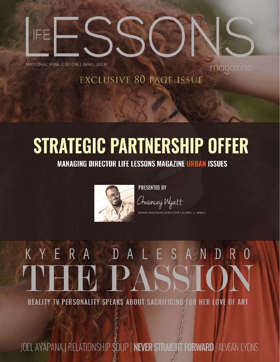

NATIONAL PUBLICATION | APRIL 2016

### **EXCLUSIVE 80 PAGE ISSUE**

magazine

### **STRATEGIC PARTNERSHIP OFFER**

**MANAGING DIRECTOR LIFE LESSONS MAGAZINE URBAN ISSUES** 



**PRESENTED BY** 

Chauncey Wyatt VE | GLOBAL & URBAN

# KYERA DALESANDRO

**REALITY TV PERSONALITY SPEAKS ABOUT SACRIFICING FOR HER LOVE OF ART** 

JOEL AYAPANA | RELATIONSHIP SOUP | NEVER STRAIGHT FORWARD | ALVEAN LYONS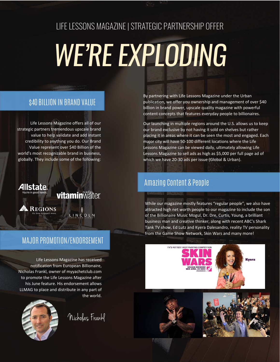### LIFE LESSONS MAGAZINE | STRATEGIC PARTNERSHIP OFFER

## *WE'RE EXPLODING*

### \$40 BILLION IN BRAND VALUE

Life Lessons Magazine offers all of our strategic partners tremendous upscale brand value to help validate and add instant credibility to anything you do. Our Brand Value represent over \$40 Billion of the world's most recognizable brand in business, globally. They include some of the following:



### MAJOR PROMOTION/ENDORSEMENT

Life Lessons Magazine has received notification from European Billionaire, Nicholas Frankl, owner of myyachetclub.com to promote the Life Lessons Magazine after his June feature. His endorsement allows LLMAG to place and distribute in any part of the world.



Nicholas Frankl

By partnering with Life Lessons Magazine under the Urban publication, we offer you ownership and management of over \$40 billion in brand power, upscale quality magazine with powerful content concepts that features everyday people to billionaires.

Our launching in multiple regions around the U.S. allows us to keep our brand exclusive by not having it sold on shelves but rather placing it in areas where it can be seen the most and engaged. Each major city will have 50‐100 different locations where the Life Lessons Magazine can be viewed daily, ultimately allowing Life Lessons Magazine to sell ads as high as \$5,000 per full page ad of which we have 20‐30 ads per issue (Global & Urban).

### Amazing Content & People

While our magazine mostly features "regular people", we also have attracted high net worth people to our magazine to include the son of the Billionaire Music Mogul, Dr. Dre, Curtis, Young, a brilliant business man and creative thinker, along with recent ABC's Shark Tank TV show, Ed Lutz and Kyera Dalesandro, reality TV personality from the Game Show Network, Skin Wars and many more!

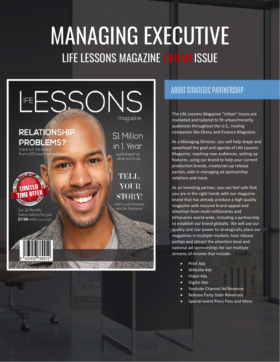### MANAGING EXECUTIVE LIFE LESSONS MAGAZINE URBAN ISSUE



### ABOUT STRATEGIC PARTNERSHIP

The Life Lessons Magazine "Urban" Issues are marketed and tailored to fit urban/minority audiences throughout the U.S., rivaling companies like Ebony and Essence Magazine.

As a Managing Director, you will help shape and spearhead the goal and agenda of Life Lessons Magazine, reaching new audiences, setting up features, using our brand to help your current production brands, create/set‐up release parties, aide in managing ad sponsorship relations and more.

As an investing partner, you can feel safe that you are in the right hands with our magazine brand that has already produce a high quality magazine with massive brand appeal and attention from multi‐millionaires and billionaires world‐wide, including a partnership to establish our brand globally. We will use our quality and star power to strategically place our magazines in multiple markets, host release parties and attract the attention local and national ad sponsorships for our multiple streams of income that include:

- Print Ads
- Website Ads
- Video Ads
- Digital Ads
- Youtube Channel Ad Revenue
- Release Party Door Revenues
- Special event Press Pass and More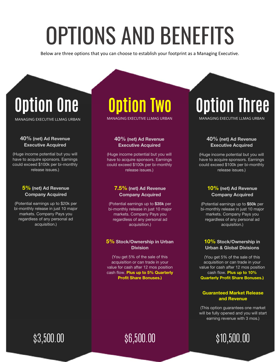### OPTIONS AND BENEFITS

Below are three options that you can choose to establish your footprint as a Managing Executive.

### Option One

MANAGING EXECUTIVE LLMAG URBAN

#### 40% (net) Ad Revenue Executive Acquired

(Huge income potential but you will have to acquire sponsors. Earnings could exceed \$100k per bi-monthly release issues.)

### 5% (net) Ad Revenue Company Acquired

(Potential earnings up to \$20k per bi-monthly release in just 10 major markets. Company Pays you regardless of any personal ad acquisition.)

### Option Two

MANAGING EXECUTIVE LLMAG URBAN

### 40% (net) Ad Revenue Executive Acquired

(Huge income potential but you will have to acquire sponsors. Earnings could exceed \$100k per bi-monthly release issues.)

#### 7.5% (net) Ad Revenue Company Acquired

(Potential earnings up to \$35k per bi-monthly release in just 10 major markets. Company Pays you regardless of any personal ad acquisition.)

#### 5% Stock/Ownership in Urban **Division**

(You get 5% of the sale of this acquisition or can trade in your value for cash after 12 mos position cash flow. Plus up to 5% Quarterly Profit Share Bonuses.)

### Option Three

MANAGING EXECUTIVE LLMAG URBAN

### 40% (net) Ad Revenue Executive Acquired

(Huge income potential but you will have to acquire sponsors. Earnings could exceed \$100k per bi-monthly release issues.)

### 10% (net) Ad Revenue Company Acquired

(Potential earnings up to \$50k per bi-monthly release in just 10 major markets. Company Pays you regardless of any personal ad acquisition.)

### 10% Stock/Ownership in Urban & Global Divisions

(You get 5% of the sale of this acquisition or can trade in your value for cash after 12 mos position cash flow. Plus up to 10% Quarterly Profit Share Bonuses.)

### Guaranteed Market Release and Revenue

(This option guarantees one market will be fully opened and you will start earning revenue with 3 mos.)



### \$3,500.00

### \$6,500.00